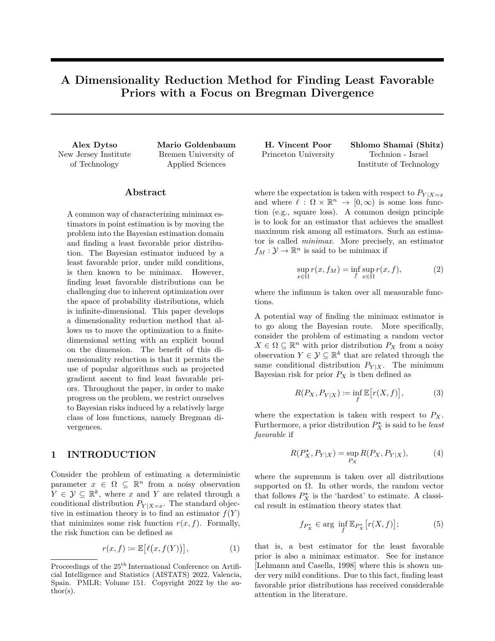# **A Dimensionality Reduction Method for Finding Least Favorable Priors with a Focus on Bregman Divergence**

New Jersey Institute of Technology

Alex Dytso Mario Goldenbaum Bremen University of Applied Sciences

#### **Abstract**

A common way of characterizing minimax estimators in point estimation is by moving the problem into the Bayesian estimation domain and finding a least favorable prior distribution. The Bayesian estimator induced by a least favorable prior, under mild conditions, is then known to be minimax. However, finding least favorable distributions can be challenging due to inherent optimization over the space of probability distributions, which is infinite-dimensional. This paper develops a dimensionality reduction method that allows us to move the optimization to a finitedimensional setting with an explicit bound on the dimension. The benefit of this dimensionality reduction is that it permits the use of popular algorithms such as projected gradient ascent to find least favorable priors. Throughout the paper, in order to make progress on the problem, we restrict ourselves to Bayesian risks induced by a relatively large class of loss functions, namely Bregman divergences.

# **1 INTRODUCTION**

Consider the problem of estimating a deterministic parameter  $x \in \Omega \subseteq \mathbb{R}^n$  from a noisy observation  $Y \in \mathcal{Y} \subseteq \mathbb{R}^k$ , where *x* and *Y* are related through a conditional distribution  $P_{Y|X=x}$ . The standard objective in estimation theory is to find an estimator  $f(Y)$ that minimizes some risk function  $r(x, f)$ . Formally, the risk function can be defined as

$$
r(x,f) := \mathbb{E}\big[\ell\big(x,f(Y)\big)\big],\tag{1}
$$

| H. Vincent Poor      | Shlomo Shamai (Shitz)   |
|----------------------|-------------------------|
| Princeton University | Technion - Israel       |
|                      | Institute of Technology |

where the expectation is taken with respect to  $P_{Y|X=x}$ and where  $\ell : \Omega \times \mathbb{R}^n \to [0, \infty)$  is some loss function (e.g., square loss). A common design principle is to look for an estimator that achieves the smallest maximum risk among all estimators. Such an estimator is called *minimax*. More precisely, an estimator  $f_M: \mathcal{Y} \to \mathbb{R}^n$  is said to be minimax if

$$
\sup_{x \in \Omega} r(x, f_M) = \inf_f \sup_{x \in \Omega} r(x, f),
$$
\n(2)

where the infimum is taken over all measurable functions.

A potential way of finding the minimax estimator is to go along the Bayesian route. More specifically, consider the problem of estimating a random vector  $X \in \Omega \subseteq \mathbb{R}^n$  with prior distribution  $P_X$  from a noisy observation  $Y \in \mathcal{Y} \subseteq \mathbb{R}^k$  that are related through the same conditional distribution  $P_{Y|X}$ . The minimum Bayesian risk for prior  $P_X$  is then defined as

$$
R(P_X, P_{Y|X}) \coloneqq \inf_f \mathbb{E}\big[r(X, f)\big],\tag{3}
$$

where the expectation is taken with respect to  $P_X$ . Furthermore, a prior distribution  $P_X^*$  is said to be *least favorable* if

$$
R(P_X^*, P_{Y|X}) = \sup_{P_X} R(P_X, P_{Y|X}),
$$
 (4)

where the supremum is taken over all distributions supported on  $\Omega$ . In other words, the random vector that follows  $P_X^{\star}$  is the 'hardest' to estimate. A classical result in estimation theory states that

$$
f_{P_X^*} \in \arg\ \inf_f \mathbb{E}_{P_X^*} \left[ r(X,f) \right];\tag{5}
$$

that is, a best estimator for the least favorable prior is also a minimax estimator. See for instance [Lehmann and Casella, 1998] where this is shown under very mild conditions. Due to this fact, finding least favorable prior distributions has received considerable attention in the literature.

Proceedings of the  $25^{\text{th}}$  International Conference on Artificial Intelligence and Statistics (AISTATS) 2022, Valencia, Spain. PMLR: Volume 151. Copyright 2022 by the author(s).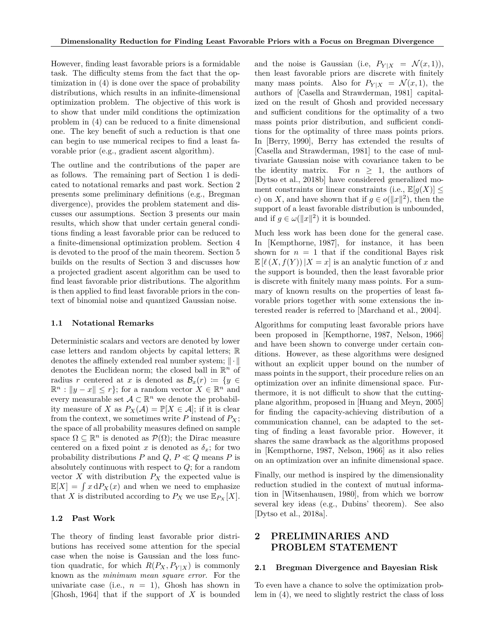However, finding least favorable priors is a formidable task. The difficulty stems from the fact that the optimization in (4) is done over the space of probability distributions, which results in an infinite-dimensional optimization problem. The objective of this work is to show that under mild conditions the optimization problem in (4) can be reduced to a finite dimensional one. The key benefit of such a reduction is that one can begin to use numerical recipes to find a least favorable prior (e.g., gradient ascent algorithm).

The outline and the contributions of the paper are as follows. The remaining part of Section 1 is dedicated to notational remarks and past work. Section 2 presents some preliminary definitions (e.g., Bregman divergence), provides the problem statement and discusses our assumptions. Section 3 presents our main results, which show that under certain general conditions finding a least favorable prior can be reduced to a finite-dimensional optimization problem. Section 4 is devoted to the proof of the main theorem. Section 5 builds on the results of Section 3 and discusses how a projected gradient ascent algorithm can be used to find least favorable prior distributions. The algorithm is then applied to find least favorable priors in the context of binomial noise and quantized Gaussian noise.

#### **1.1 Notational Remarks**

Deterministic scalars and vectors are denoted by lower case letters and random objects by capital letters; R denotes the affinely extended real number system; ∥· ∥ denotes the Euclidean norm; the closed ball in  $\mathbb{R}^n$  of radius *r* centered at *x* is denoted as  $\mathcal{B}_x(r) := \{y \in$  $\mathbb{R}^n : ||y - x|| \leq r$ ; for a random vector  $X \in \mathbb{R}^n$  and every measurable set  $A \subset \mathbb{R}^n$  we denote the probability measure of *X* as  $P_X(\mathcal{A}) = \mathbb{P}[X \in \mathcal{A}]$ ; if it is clear from the context, we sometimes write  $P$  instead of  $P_X$ ; the space of all probability measures defined on sample space  $\Omega \subseteq \mathbb{R}^n$  is denoted as  $\mathcal{P}(\Omega)$ ; the Dirac measure centered on a fixed point *x* is denoted as  $\delta_x$ ; for two probability distributions *P* and  $Q, P \ll Q$  means *P* is absolutely continuous with respect to *Q*; for a random vector  $X$  with distribution  $P_X$  the expected value is  $\mathbb{E}[X] = \int x \, dP_X(x)$  and when we need to emphasize that *X* is distributed according to  $P_X$  we use  $\mathbb{E}_{P_X}[X]$ .

#### **1.2 Past Work**

The theory of finding least favorable prior distributions has received some attention for the special case when the noise is Gaussian and the loss function quadratic, for which  $R(P_X, P_{Y|X})$  is commonly known as the *minimum mean square error*. For the univariate case (i.e.,  $n = 1$ ), Ghosh has shown in [Ghosh, 1964] that if the support of *X* is bounded and the noise is Gaussian (i.e,  $P_{Y|X} = \mathcal{N}(x, 1)$ ), then least favorable priors are discrete with finitely many mass points. Also for  $P_{Y|X} = \mathcal{N}(x, 1)$ , the authors of [Casella and Strawderman, 1981] capitalized on the result of Ghosh and provided necessary and sufficient conditions for the optimality of a two mass points prior distribution, and sufficient conditions for the optimality of three mass points priors. In [Berry, 1990], Berry has extended the results of [Casella and Strawderman, 1981] to the case of multivariate Gaussian noise with covariance taken to be the identity matrix. For  $n \geq 1$ , the authors of [Dytso et al., 2018b] have considered generalized moment constraints or linear constraints (i.e.,  $\mathbb{E}[q(X)] \leq$ *c*) on *X*, and have shown that if  $g \in o(||x||^2)$ , then the support of a least favorable distribution is unbounded, and if  $g \in \omega(\Vert x \Vert^2)$  it is bounded.

Much less work has been done for the general case. In [Kempthorne, 1987], for instance, it has been shown for  $n = 1$  that if the conditional Bayes risk  $\mathbb{E}[(\ell(X, f(Y))|X=x]$  is an analytic function of x and the support is bounded, then the least favorable prior is discrete with finitely many mass points. For a summary of known results on the properties of least favorable priors together with some extensions the interested reader is referred to [Marchand et al., 2004].

Algorithms for computing least favorable priors have been proposed in [Kempthorne, 1987, Nelson, 1966] and have been shown to converge under certain conditions. However, as these algorithms were designed without an explicit upper bound on the number of mass points in the support, their procedure relies on an optimization over an infinite dimensional space. Furthermore, it is not difficult to show that the cuttingplane algorithm, proposed in [Huang and Meyn, 2005] for finding the capacity-achieving distribution of a communication channel, can be adapted to the setting of finding a least favorable prior. However, it shares the same drawback as the algorithms proposed in [Kempthorne, 1987, Nelson, 1966] as it also relies on an optimization over an infinite dimensional space.

Finally, our method is inspired by the dimensionality reduction studied in the context of mutual information in [Witsenhausen, 1980], from which we borrow several key ideas (e.g., Dubins' theorem). See also [Dytso et al., 2018a].

# **2 PRELIMINARIES AND PROBLEM STATEMENT**

#### **2.1 Bregman Divergence and Bayesian Risk**

To even have a chance to solve the optimization problem in (4), we need to slightly restrict the class of loss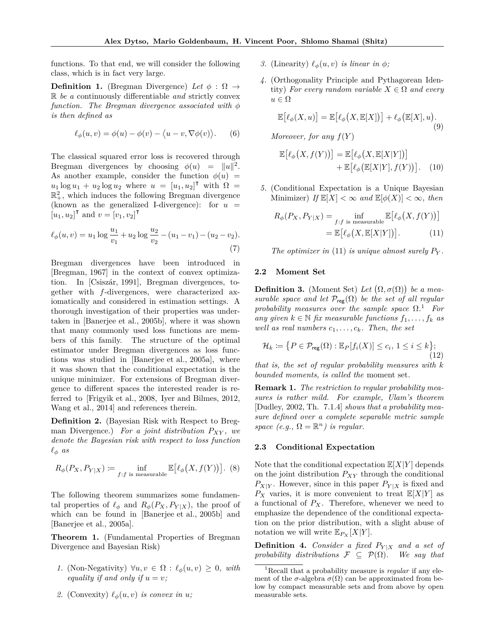functions. To that end, we will consider the following class, which is in fact very large.

**Definition 1.** (Bregman Divergence) Let  $\phi : \Omega \rightarrow$ R *be a* continuously differentiable *and* strictly convex *function.* The Bregman divergence associated with  $\phi$ *is then defined as*

$$
\ell_{\phi}(u,v) = \phi(u) - \phi(v) - \langle u - v, \nabla \phi(v) \rangle.
$$
 (6)

The classical squared error loss is recovered through Bregman divergences by choosing  $\phi(u) = ||u||^2$ . As another example, consider the function  $\phi(u)$  =  $u_1 \log u_1 + u_2 \log u_2$  where  $u = [u_1, u_2]^\intercal$  with  $\Omega =$  $\mathbb{R}^2_+$ , which induces the following Bregman divergence (known as the generalized I-divergence): for  $u =$  $[u_1, u_2]^\intercal$  and  $v = [v_1, v_2]^\intercal$ 

$$
\ell_{\phi}(u,v) = u_1 \log \frac{u_1}{v_1} + u_2 \log \frac{u_2}{v_2} - (u_1 - v_1) - (u_2 - v_2).
$$
\n(7)

Bregman divergences have been introduced in [Bregman, 1967] in the context of convex optimization. In [Csiszár, 1991], Bregman divergences, together with *f*-divergences, were characterized axiomatically and considered in estimation settings. A thorough investigation of their properties was undertaken in [Banerjee et al., 2005b], where it was shown that many commonly used loss functions are members of this family. The structure of the optimal estimator under Bregman divergences as loss functions was studied in [Banerjee et al., 2005a], where it was shown that the conditional expectation is the unique minimizer. For extensions of Bregman divergence to different spaces the interested reader is referred to [Frigyik et al., 2008, Iyer and Bilmes, 2012, Wang et al., 2014] and references therein.

**Definition 2.** (Bayesian Risk with Respect to Bregman Divergence.) *For a joint distribution PXY , we denote the Bayesian risk with respect to loss function*  $\ell_{\phi}$  *as* 

$$
R_{\phi}(P_X, P_{Y|X}) \coloneqq \inf_{f:f \text{ is measurable}} \mathbb{E} \big[ \ell_{\phi}\big(X, f(Y)\big) \big]. \tag{8}
$$

The following theorem summarizes some fundamental properties of  $\ell_{\phi}$  and  $R_{\phi}(P_X, P_{Y|X})$ , the proof of which can be found in [Banerjee et al., 2005b] and [Banerjee et al., 2005a].

**Theorem 1.** (Fundamental Properties of Bregman Divergence and Bayesian Risk)

- *1.* (Non-Negativity) ∀*u, v* ∈ Ω : *ℓϕ*(*u, v*) ≥ 0*, with equality if and only if*  $u = v$ *;*
- 2. (Convexity)  $\ell_{\phi}(u, v)$  *is convex in u*;
- *3.* (Linearity)  $\ell_{\phi}(u, v)$  *is linear in*  $\phi$ *;*
- *4.* (Orthogonality Principle and Pythagorean Identity) *For every random variable*  $X \in \Omega$  *and every*  $u \in \Omega$

$$
\mathbb{E}\big[\ell_{\phi}(X,u)\big] = \mathbb{E}\big[\ell_{\phi}\big(X,\mathbb{E}[X]\big)\big] + \ell_{\phi}\big(\mathbb{E}[X],u\big).
$$
\n(9)

*Moreover, for any*  $f(Y)$ 

$$
\mathbb{E}\big[\ell_{\phi}\big(X,f(Y)\big)\big] = \mathbb{E}\big[\ell_{\phi}\big(X,\mathbb{E}[X|Y]\big)\big] + \mathbb{E}\big[\ell_{\phi}\big(\mathbb{E}[X|Y],f(Y)\big)\big].\tag{10}
$$

*5.* (Conditional Expectation is a Unique Bayesian Minimizer) *If*  $\mathbb{E}[X] < \infty$  and  $\mathbb{E}[\phi(X)] < \infty$ , then

$$
R_{\phi}(P_X, P_{Y|X}) = \inf_{f:f \text{ is measurable}} \mathbb{E}[\ell_{\phi}(X, f(Y))]
$$

$$
= \mathbb{E}[\ell_{\phi}(X, \mathbb{E}[X|Y])]. \tag{11}
$$

*The optimizer in* (11) *is unique almost surely P<sup>Y</sup> .*

#### **2.2 Moment Set**

**Definition 3.** (Moment Set) Let  $(\Omega, \sigma(\Omega))$  be a mea*surable space and let*  $\mathcal{P}_{reg}(\Omega)$  *be the set of all regular probability measures over the sample space* Ω*.* <sup>1</sup> *For any given*  $k ∈ ℕ$  *fix measurable functions*  $f_1, \ldots, f_k$  *as well as real numbers*  $c_1, \ldots, c_k$ *. Then, the set* 

$$
\mathcal{H}_k \coloneqq \{ P \in \mathcal{P}_{\text{reg}}(\Omega) : \mathbb{E}_P[f_i(X)] \le c_i, 1 \le i \le k \};\tag{12}
$$

*that is, the set of regular probability measures with k bounded moments, is called the* moment set*.*

**Remark 1.** *The restriction to regular probability measures is rather mild. For example, Ulam's theorem* [Dudley, 2002, Th. 7.1.4] *shows that a probability measure defined over a complete separable metric sample space*  $(e.g., \Omega = \mathbb{R}^n)$  *is regular.* 

#### **2.3 Conditional Expectation**

Note that the conditional expectation  $\mathbb{E}[X|Y]$  depends on the joint distribution *PXY* through the conditional  $P_{X|Y}$ . However, since in this paper  $P_{Y|X}$  is fixed and  $P_X$  varies, it is more convenient to treat  $\mathbb{E}[X|Y]$  as a functional of  $P_X$ . Therefore, whenever we need to emphasize the dependence of the conditional expectation on the prior distribution, with a slight abuse of notation we will write  $\mathbb{E}_{P_X}[X|Y].$ 

**Definition 4.** *Consider a fixed*  $P_{Y|X}$  *and a set of probability distributions*  $\mathcal{F} \subseteq \mathcal{P}(\Omega)$ *. We say that* 

<sup>1</sup>Recall that a probability measure is *regular* if any element of the  $\sigma$ -algebra  $\sigma(\Omega)$  can be approximated from below by compact measurable sets and from above by open measurable sets.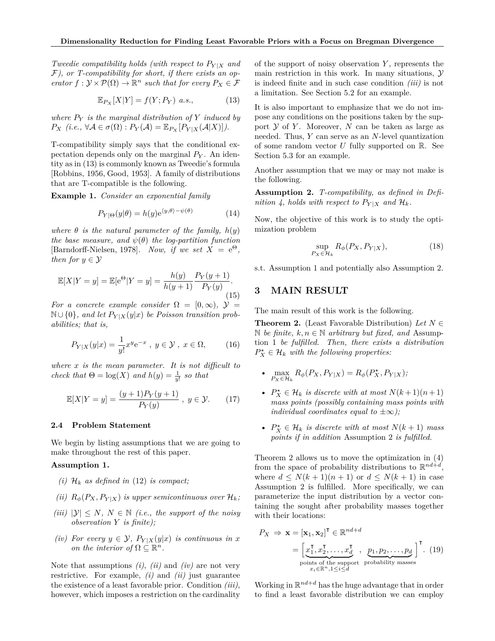*Tweedie compatibility holds (with respect to*  $P_{Y|X}$  *and* F*), or T-compatibility for short, if there exists an op-* $\mathcal{P}$  *erator*  $f: \mathcal{Y} \times \mathcal{P}(\Omega) \to \mathbb{R}^n$  *such that for every*  $P_X \in \mathcal{F}$ 

$$
\mathbb{E}_{P_X}[X|Y] = f(Y; P_Y) \ a.s., \tag{13}
$$

*where P<sup>Y</sup> is the marginal distribution of Y induced by*  $P_X$  (*i.e.*,  $\forall A \in \sigma(\Omega) : P_Y(A) = \mathbb{E}_{P_X}[P_{Y|X}(A|X)]$ ).

T-compatibility simply says that the conditional expectation depends only on the marginal *P<sup>Y</sup>* . An identity as in (13) is commonly known as Tweedie's formula [Robbins, 1956, Good, 1953]. A family of distributions that are T-compatible is the following.

**Example 1.** *Consider an exponential family*

$$
P_{Y|\Theta}(y|\theta) = h(y)e^{\langle y, \theta \rangle - \psi(\theta)} \tag{14}
$$

*where*  $\theta$  *is the natural parameter of the family,*  $h(y)$ *the base measure, and*  $\psi(\theta)$  *the log-partition function* [Barndorff-Nielsen, 1978]*.* Now, if we set  $X = e^{\Theta}$ , *then for*  $y \in Y$ 

$$
\mathbb{E}[X|Y=y] = \mathbb{E}[e^{\Theta}|Y=y] = \frac{h(y)}{h(y+1)} \frac{P_Y(y+1)}{P_Y(y)}.
$$
\n(15)

*For a concrete example consider*  $\Omega = [0, \infty)$ ,  $\mathcal{Y} =$  $\mathbb{N} \cup \{0\}$ , and let  $P_{Y|X}(y|x)$  be Poisson transition prob*abilities; that is,*

$$
P_{Y|X}(y|x) = \frac{1}{y!}x^y e^{-x}, \ y \in \mathcal{Y}, \ x \in \Omega, \qquad (16)
$$

*where x is the mean parameter. It is not difficult to check that*  $\Theta = \log(X)$  *and*  $h(y) = \frac{1}{y!}$  *so that* 

$$
\mathbb{E}[X|Y=y] = \frac{(y+1)P_Y(y+1)}{P_Y(y)}, \ y \in \mathcal{Y}.
$$
 (17)

#### **2.4 Problem Statement**

We begin by listing assumptions that we are going to make throughout the rest of this paper.

#### **Assumption 1.**

- *(i)*  $\mathcal{H}_k$  *as defined in* (12) *is compact*;
- *(ii)*  $R_{\phi}(P_X, P_{Y|X})$  *is upper semicontinuous over*  $\mathcal{H}_k$ *;*
- *(iii)*  $|Y| \leq N$ ,  $N \in \mathbb{N}$  *(i.e., the support of the noisy observation Y is finite);*
- *(iv) For every*  $y \in \mathcal{Y}$ ,  $P_{Y|X}(y|x)$  *is continuous in x on the interior of*  $\Omega \subseteq \mathbb{R}^n$ .

Note that assumptions *(i)*, *(ii)* and *(iv)* are not very restrictive. For example, *(i)* and *(ii)* just guarantee the existence of a least favorable prior. Condition *(iii)*, however, which imposes a restriction on the cardinality of the support of noisy observation *Y* , represents the main restriction in this work. In many situations,  $\mathcal Y$ is indeed finite and in such case condition *(iii)* is not a limitation. See Section 5.2 for an example.

It is also important to emphasize that we do not impose any conditions on the positions taken by the support  $Y$  of  $Y$ . Moreover,  $N$  can be taken as large as needed. Thus, *Y* can serve as an *N*-level quantization of some random vector *U* fully supported on R. See Section 5.3 for an example.

Another assumption that we may or may not make is the following.

**Assumption 2.** *T-compatibility, as defined in Definition 4, holds with respect to*  $P_{Y|X}$  *and*  $\mathcal{H}_k$ *.* 

Now, the objective of this work is to study the optimization problem

$$
\sup_{P_X \in \mathcal{H}_k} R_\phi(P_X, P_{Y|X}),\tag{18}
$$

s.t. Assumption 1 and potentially also Assumption 2.

# **3 MAIN RESULT**

The main result of this work is the following.

**Theorem 2.** (Least Favorable Distribution) *Let*  $N \in$ N *be finite,*  $k, n \in \mathbb{N}$  *arbitrary but fixed, and* Assumption 1 *be fulfilled. Then, there exists a distribution*  $P_X^{\star} \in \mathcal{H}_k$  *with the following properties:* 

- $\max_{P_X \in \mathcal{H}_k} R_{\phi}(P_X, P_{Y|X}) = R_{\phi}(P_X^{\star}, P_{Y|X});$
- $P_X^{\star} \in \mathcal{H}_k$  *is discrete with at most*  $N(k+1)(n+1)$ *mass points (possibly containing mass points with individual coordinates equal to*  $\pm \infty$ *);*
- $P_X^{\star} \in \mathcal{H}_k$  *is discrete with at most*  $N(k+1)$  *mass points if in addition* Assumption 2 *is fulfilled.*

Theorem 2 allows us to move the optimization in (4) from the space of probability distributions to  $\mathbb{R}^{nd+ d}$ , where  $d \leq N(k+1)(n+1)$  or  $d \leq N(k+1)$  in case Assumption 2 is fulfilled. More specifically, we can parameterize the input distribution by a vector containing the sought after probability masses together with their locations:

$$
P_X \Rightarrow \mathbf{x} = [\mathbf{x}_1, \mathbf{x}_2]^{\mathsf{T}} \in \mathbb{R}^{nd+d}
$$
  
=  $\begin{bmatrix} x_1^{\mathsf{T}}, x_2^{\mathsf{T}}, \dots, x_d^{\mathsf{T}} \\ y_1^{\text{points of the support probability masses}} \end{bmatrix}^{\mathsf{T}}.$  (19)

Working in  $\mathbb{R}^{nd+d}$  has the huge advantage that in order to find a least favorable distribution we can employ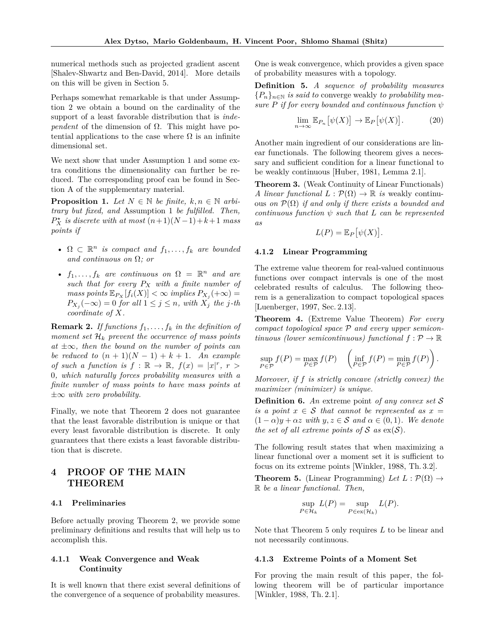numerical methods such as projected gradient ascent [Shalev-Shwartz and Ben-David, 2014]. More details on this will be given in Section 5.

Perhaps somewhat remarkable is that under Assumption 2 we obtain a bound on the cardinality of the support of a least favorable distribution that is *independent* of the dimension of  $\Omega$ . This might have potential applications to the case where  $\Omega$  is an infinite dimensional set.

We next show that under Assumption 1 and some extra conditions the dimensionality can further be reduced. The corresponding proof can be found in Section A of the supplementary material.

**Proposition 1.** *Let*  $N \in \mathbb{N}$  *be finite,*  $k, n \in \mathbb{N}$  *arbitrary but fixed, and* Assumption 1 *be fulfilled. Then,*  $P_X^{\star}$  *is discrete with at most*  $(n+1)(N-1)+k+1$  *mass points if*

- $\Omega \subset \mathbb{R}^n$  *is compact and*  $f_1, \ldots, f_k$  *are bounded and continuous on* Ω*; or*
- $f_1, \ldots, f_k$  are continuous on  $\Omega = \mathbb{R}^n$  and are *such that for every P<sup>X</sup> with a finite number of*  $mass points \mathbb{E}_{P_X}[f_i(X)] < \infty$  *implies*  $P_{X_i}(+\infty) =$  $P_{X_j}(-\infty) = 0$  *for all*  $1 \leq j \leq n$ *, with*  $X_j$  *the j*-*th coordinate of X.*

**Remark 2.** If functions  $f_1, \ldots, f_k$  in the definition of *moment set*  $\mathcal{H}_k$  *prevent the occurrence of mass points at* ±∞*, then the bound on the number of points can be reduced to*  $(n + 1)(N - 1) + k + 1$ *. An example of such a function is*  $f : \mathbb{R} \to \mathbb{R}$ ,  $f(x) = |x|^r$ ,  $r >$ 0*, which naturally forces probability measures with a finite number of mass points to have mass points at* ±∞ *with zero probability.*

Finally, we note that Theorem 2 does not guarantee that the least favorable distribution is unique or that every least favorable distribution is discrete. It only guarantees that there exists a least favorable distribution that is discrete.

# **4 PROOF OF THE MAIN THEOREM**

#### **4.1 Preliminaries**

Before actually proving Theorem 2, we provide some preliminary definitions and results that will help us to accomplish this.

# **4.1.1 Weak Convergence and Weak Continuity**

It is well known that there exist several definitions of the convergence of a sequence of probability measures.

One is weak convergence, which provides a given space of probability measures with a topology.

**Definition 5.** *A sequence of probability measures*  ${P_n}_{n \in \mathbb{N}}$  *is said to* converge weakly *to probability measure P if for every bounded and continuous function ψ*

$$
\lim_{n \to \infty} \mathbb{E}_{P_n} \left[ \psi(X) \right] \to \mathbb{E}_P \left[ \psi(X) \right]. \tag{20}
$$

Another main ingredient of our considerations are linear functionals. The following theorem gives a necessary and sufficient condition for a linear functional to be weakly continuous [Huber, 1981, Lemma 2.1].

**Theorem 3.** (Weak Continuity of Linear Functionals) *A linear functional*  $L : \mathcal{P}(\Omega) \to \mathbb{R}$  *is* weakly continuous *on*  $\mathcal{P}(\Omega)$  *if and only if there exists a bounded and continuous function*  $\psi$  *such that*  $L$  *can be represented as*

$$
L(P) = \mathbb{E}_P[\psi(X)].
$$

#### **4.1.2 Linear Programming**

The extreme value theorem for real-valued continuous functions over compact intervals is one of the most celebrated results of calculus. The following theorem is a generalization to compact topological spaces [Luenberger, 1997, Sec. 2.13].

**Theorem 4.** (Extreme Value Theorem) *For every compact topological space* P *and every upper semicontinuous (lower semicontinuous) functional*  $f : \mathcal{P} \to \mathbb{R}$ 

$$
\sup_{P\in\mathcal{P}}f(P)=\max_{P\in\mathcal{P}}f(P)\quad\left(\inf_{P\in\mathcal{P}}f(P)=\min_{P\in\mathcal{P}}f(P)\right).
$$

*Moreover, if f is strictly concave (strictly convex) the maximizer (minimizer) is unique.*

**Definition 6.** *An* extreme point *of any convex set* S *is a point*  $x \in S$  *that cannot be represented as*  $x =$  $(1 - \alpha)y + \alpha z$  with  $y, z \in S$  and  $\alpha \in (0, 1)$ . We denote *the set of all extreme points of*  $S$  *as*  $ex(S)$ *.* 

The following result states that when maximizing a linear functional over a moment set it is sufficient to focus on its extreme points [Winkler, 1988, Th. 3.2].

**Theorem 5.** (Linear Programming) Let  $L : \mathcal{P}(\Omega) \rightarrow$ R *be a linear functional. Then,*

$$
\sup_{P \in \mathcal{H}_k} L(P) = \sup_{P \in \text{ex}(\mathcal{H}_k)} L(P).
$$

Note that Theorem 5 only requires *L* to be linear and not necessarily continuous.

#### **4.1.3 Extreme Points of a Moment Set**

For proving the main result of this paper, the following theorem will be of particular importance [Winkler, 1988, Th. 2.1].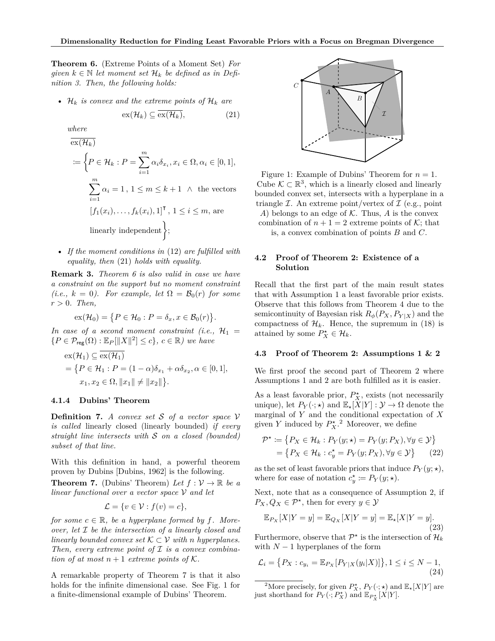**Theorem 6.** (Extreme Points of a Moment Set) *For given*  $k \in \mathbb{N}$  *let moment set*  $\mathcal{H}_k$  *be defined as in Definition 3. Then, the following holds:*

•  $\mathcal{H}_k$  *is convex and the extreme points of*  $\mathcal{H}_k$  *are* 

$$
\operatorname{ex}(\mathcal{H}_k) \subseteq \overline{\operatorname{ex}(\mathcal{H}_k)},\tag{21}
$$

*where*

$$
\overline{\operatorname{ex}(\mathcal{H}_k)}
$$
\n
$$
\coloneqq \left\{ P \in \mathcal{H}_k : P = \sum_{i=1}^m \alpha_i \delta_{x_i}, x_i \in \Omega, \alpha_i \in [0, 1], \right\}
$$
\n
$$
\sum_{i=1}^m \alpha_i = 1, 1 \le m \le k+1 \quad \wedge \text{ the vectors}
$$
\n
$$
[f_1(x_i), \dots, f_k(x_i), 1]^\mathsf{T}, 1 \le i \le m, \text{ are}
$$
\n
$$
\text{linearly independent} \left\};
$$

• *If the moment conditions in* (12) *are fulfilled with equality, then* (21) *holds with equality.*

**Remark 3.** *Theorem 6 is also valid in case we have a constraint on the support but no moment constraint (i.e.,*  $k = 0$ *). For example, let*  $\Omega = \mathcal{B}_0(r)$  *for some*  $r > 0$ *. Then,* 

$$
\mathrm{ex}(\mathcal{H}_0) = \{ P \in \mathcal{H}_0 : P = \delta_x, x \in \mathcal{B}_0(r) \}.
$$

*In case of a second moment constraint (i.e.,*  $\mathcal{H}_1$  =  ${P \in \mathcal{P}_{\text{reg}}(\Omega) : \mathbb{E}_P[\|X\|^2] \leq c}, \, c \in \mathbb{R}}) \, \text{ we have}$ 

$$
\mathrm{ex}(\mathcal{H}_1) \subseteq \overline{\mathrm{ex}(\mathcal{H}_1)}
$$
  
=  $\{P \in \mathcal{H}_1 : P = (1 - \alpha)\delta_{x_1} + \alpha \delta_{x_2}, \alpha \in [0, 1],$   
 $x_1, x_2 \in \Omega, ||x_1|| \neq ||x_2||\}.$ 

# **4.1.4 Dubins' Theorem**

**Definition 7.** *A convex set* S *of a vector space* V *is called* linearly closed (linearly bounded) *if every straight line intersects with* S *on a closed (bounded) subset of that line.*

With this definition in hand, a powerful theorem proven by Dubins [Dubins, 1962] is the following.

**Theorem 7.** (Dubins' Theorem) Let  $f: V \to \mathbb{R}$  be a *linear functional over a vector space* V *and let*

$$
\mathcal{L} = \{ v \in \mathcal{V} : f(v) = c \},
$$

*for some*  $c \in \mathbb{R}$ *, be a hyperplane formed by f. Moreover, let* I *be the intersection of a linearly closed and linearly bounded convex set*  $K \subset V$  *with n hyperplanes. Then, every extreme point of* I *is a convex combination of at most*  $n+1$  *extreme points of*  $K$ .

A remarkable property of Theorem 7 is that it also holds for the infinite dimensional case. See Fig. 1 for a finite-dimensional example of Dubins' Theorem.



Figure 1: Example of Dubins' Theorem for  $n = 1$ . Cube  $\mathcal{K} \subset \mathbb{R}^3$ , which is a linearly closed and linearly bounded convex set, intersects with a hyperplane in a triangle  $\mathcal I$ . An extreme point/vertex of  $\mathcal I$  (e.g., point *A*) belongs to an edge of  $K$ . Thus, *A* is the convex combination of  $n + 1 = 2$  extreme points of K; that is, a convex combination of points *B* and *C*.

## **4.2 Proof of Theorem 2: Existence of a Solution**

Recall that the first part of the main result states that with Assumption 1 a least favorable prior exists. Observe that this follows from Theorem 4 due to the semicontinuity of Bayesian risk  $R_{\phi}(P_X, P_{Y|X})$  and the compactness of  $\mathcal{H}_k$ . Hence, the supremum in (18) is attained by some  $P_X^* \in \mathcal{H}_k$ .

#### **4.3 Proof of Theorem 2: Assumptions 1 & 2**

We first proof the second part of Theorem 2 where Assumptions 1 and 2 are both fulfilled as it is easier.

As a least favorable prior,  $P_X^*$ , exists (not necessarily unique), let  $P_Y(\cdot; \star)$  and  $\mathbb{E}_\star[X|Y] : \mathcal{Y} \to \Omega$  denote the marginal of *Y* and the conditional expectation of *X* given *Y* induced by  $P_X^{\star}$ .<sup>2</sup> Moreover, we define

$$
\mathcal{P}^{\star} := \{ P_X \in \mathcal{H}_k : P_Y(y; \star) = P_Y(y; P_X), \forall y \in \mathcal{Y} \} = \{ P_X \in \mathcal{H}_k : c_y^{\star} = P_Y(y; P_X), \forall y \in \mathcal{Y} \}
$$
(22)

as the set of least favorable priors that induce  $P_Y(y; \star)$ , where for ease of notation  $c_y^* \coloneqq P_Y(y; \star)$ .

Next, note that as a consequence of Assumption 2, if  $P_X, Q_X \in \mathcal{P}^*$ , then for every  $y \in \mathcal{Y}$ 

$$
\mathbb{E}_{P_X}[X|Y=y] = \mathbb{E}_{Q_X}[X|Y=y] = \mathbb{E}_\star[X|Y=y].
$$
\n(23)

Furthermore, observe that  $\mathcal{P}^*$  is the intersection of  $\mathcal{H}_k$ with  $N-1$  hyperplanes of the form

$$
\mathcal{L}_i = \{ P_X : c_{y_i} = \mathbb{E}_{P_X} [P_{Y|X}(y_i|X)] \}, 1 \le i \le N - 1,
$$
\n(24)

<sup>2</sup>More precisely, for given  $P_X^{\star}$ ,  $P_Y(\cdot;\star)$  and  $\mathbb{E}_{\star}[X|Y]$  are just shorthand for  $P_Y(\cdot; P_X^{\star})$  and  $\mathbb{E}_{P_X^{\star}}[X|Y]$ .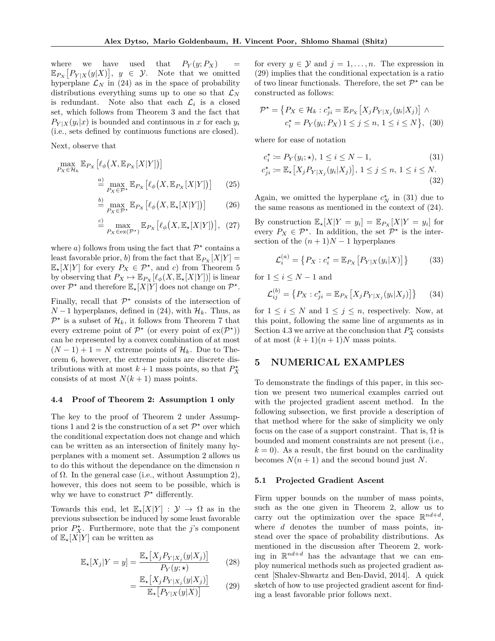where we have used that  $P_Y(y; P_X)$  =  $\mathbb{E}_{P_X}\left[P_{Y|X}(y|X)\right], y \in \mathcal{Y}.$  Note that we omitted hyperplane  $\mathcal{L}_N$  in (24) as in the space of probability distributions everything sums up to one so that  $\mathcal{L}_N$ is redundant. Note also that each  $\mathcal{L}_i$  is a closed set, which follows from Theorem 3 and the fact that  $P_{Y|X}(y_i|x)$  is bounded and continuous in *x* for each  $y_i$ (i.e., sets defined by continuous functions are closed).

Next, observe that

$$
\max_{P_X \in \mathcal{H}_k} \mathbb{E}_{P_X} \left[ \ell_\phi \big( X, \mathbb{E}_{P_X} [X | Y] \big) \right]
$$
  

$$
\stackrel{a)}{=} \max_{P_X \in \mathcal{P}^\star} \mathbb{E}_{P_X} \left[ \ell_\phi \big( X, \mathbb{E}_{P_X} [X | Y] \big) \right] \tag{25}
$$

$$
\stackrel{b)}{=} \max_{P_X \in \mathcal{P}^\star} \mathbb{E}_{P_X} \left[ \ell_\phi \big( X, \mathbb{E}_\star [X|Y] \big) \right] \tag{26}
$$

$$
\stackrel{c)}{=} \max_{P_X \in \text{ex}(\mathcal{P}^*)} \mathbb{E}_{P_X} \left[ \ell_\phi \big( X, \mathbb{E}_\star [X|Y] \big) \right], \tag{27}
$$

where *a*) follows from using the fact that  $\mathcal{P}^{\star}$  contains a least favorable prior, *b*) from the fact that  $\mathbb{E}_{P_X}[X|Y] =$  $\mathbb{E}_\star[X|Y]$  for every  $P_X \in \mathcal{P}^\star$ , and *c*) from Theorem 5 by observing that  $P_X \mapsto \mathbb{E}_{P_X}[\ell_\phi(X, \mathbb{E}_\star[X|Y])]$  is linear over  $\mathcal{P}^*$  and therefore  $\mathbb{E}_\star[X|Y]$  does not change on  $\mathcal{P}^*$ .

Finally, recall that  $\mathcal{P}^*$  consists of the intersection of *N* − 1 hyperplanes, defined in (24), with  $\mathcal{H}_k$ . Thus, as  $\mathcal{P}^{\star}$  is a subset of  $\mathcal{H}_k$ , it follows from Theorem 7 that every extreme point of  $\mathcal{P}^{\star}$  (or every point of  $\exp(\mathcal{P}^{\star})$ ) can be represented by a convex combination of at most  $(N-1) + 1 = N$  extreme points of  $\mathcal{H}_k$ . Due to Theorem 6, however, the extreme points are discrete distributions with at most  $k+1$  mass points, so that  $P_X^{\star}$ consists of at most  $N(k+1)$  mass points.

#### **4.4 Proof of Theorem 2: Assumption 1 only**

The key to the proof of Theorem 2 under Assumptions 1 and 2 is the construction of a set  $\mathcal{P}^{\star}$  over which the conditional expectation does not change and which can be written as an intersection of finitely many hyperplanes with a moment set. Assumption 2 allows us to do this without the dependance on the dimension *n* of Ω. In the general case (i.e., without Assumption 2), however, this does not seem to be possible, which is why we have to construct  $\mathcal{P}^{\star}$  differently.

Towards this end, let  $\mathbb{E}_\star[X|Y] : \mathcal{Y} \to \Omega$  as in the previous subsection be induced by some least favorable prior  $P_X^*$ . Furthermore, note that the *j*'s component of  $\mathbb{E}_\star[X|Y]$  can be written as

$$
\mathbb{E}_{\star}[X_j|Y=y] = \frac{\mathbb{E}_{\star}[X_j P_{Y|X_j}(y|X_j)]}{P_Y(y;\star)}
$$
(28)

$$
= \frac{\mathbb{E}_{\star} \left[ X_j P_{Y|X_j}(y|X_j) \right]}{\mathbb{E}_{\star} \left[ P_{Y|X}(y|X) \right]} \tag{29}
$$

for every  $y \in \mathcal{Y}$  and  $j = 1, \ldots, n$ . The expression in (29) implies that the conditional expectation is a ratio of two linear functionals. Therefore, the set  $\mathcal{P}^*$  can be constructed as follows:

$$
\mathcal{P}^{\star} = \{ P_X \in \mathcal{H}_k : c_{ji}^{\star} = \mathbb{E}_{P_X} \left[ X_j P_{Y|X_j} (y_i | X_j) \right] \land \n c_i^{\star} = P_Y(y_i; P_X) 1 \le j \le n, 1 \le i \le N \}, \quad (30)
$$

where for ease of notation

$$
c_i^* := P_Y(y_i; \star), \ 1 \le i \le N - 1,
$$
\n
$$
c_{ji}^* := \mathbb{E}_\star \big[ X_j P_{Y|X_j}(y_i|X_j) \big], \ 1 \le j \le n, \ 1 \le i \le N.
$$
\n
$$
(32)
$$

Again, we omitted the hyperplane  $c_N^*$  in (31) due to the same reasons as mentioned in the context of (24).

By construction  $\mathbb{E}_\star[X|Y=y_i] = \mathbb{E}_{P_X}[X|Y=y_i]$  for every  $P_X \in \mathcal{P}^*$ . In addition, the set  $\mathcal{P}^*$  is the intersection of the  $(n + 1)N - 1$  hyperplanes

$$
\mathcal{L}_i^{(a)} = \{ P_X : c_i^* = \mathbb{E}_{P_X} [P_{Y|X}(y_i|X)] \}
$$
(33)

for  $1 \leq i \leq N-1$  and

$$
\mathcal{L}_{ij}^{(b)} = \{ P_X : c_{ji}^* = \mathbb{E}_{P_X} \left[ X_j P_{Y|X_j}(y_i | X_j) \right] \} \tag{34}
$$

for  $1 \leq i \leq N$  and  $1 \leq j \leq n$ , respectively. Now, at this point, following the same line of arguments as in Section 4.3 we arrive at the conclusion that  $P_X^{\star}$  consists of at most  $(k+1)(n+1)N$  mass points.

# **5 NUMERICAL EXAMPLES**

To demonstrate the findings of this paper, in this section we present two numerical examples carried out with the projected gradient ascent method. In the following subsection, we first provide a description of that method where for the sake of simplicity we only focus on the case of a support constraint. That is,  $\Omega$  is bounded and moment constraints are not present (i.e.,  $k = 0$ . As a result, the first bound on the cardinality becomes  $N(n+1)$  and the second bound just N.

### **5.1 Projected Gradient Ascent**

Firm upper bounds on the number of mass points, such as the one given in Theorem 2, allow us to carry out the optimization over the space  $\mathbb{R}^{nd+d}$ , where *d* denotes the number of mass points, instead over the space of probability distributions. As mentioned in the discussion after Theorem 2, working in  $\mathbb{R}^{nd+d}$  has the advantage that we can employ numerical methods such as projected gradient ascent [Shalev-Shwartz and Ben-David, 2014]. A quick sketch of how to use projected gradient ascent for finding a least favorable prior follows next.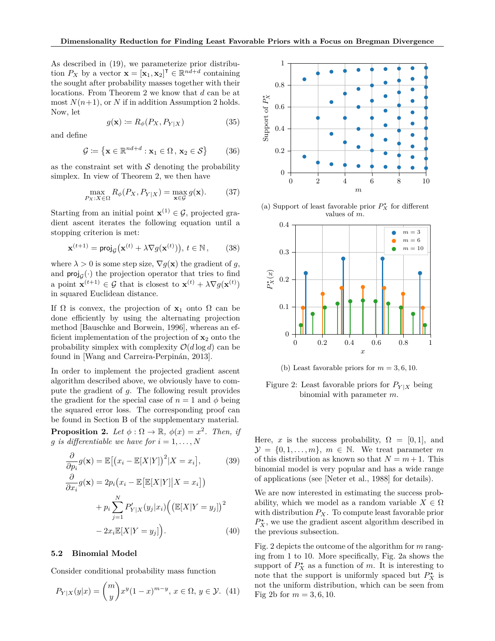As described in (19), we parameterize prior distribution *P<sub>X</sub>* by a vector  $\mathbf{x} = [\mathbf{x}_1, \mathbf{x}_2]^\mathsf{T} \in \mathbb{R}^{nd+d}$  containing the sought after probability masses together with their locations. From Theorem 2 we know that *d* can be at most  $N(n+1)$ , or  $N$  if in addition Assumption 2 holds. Now, let

$$
g(\mathbf{x}) \coloneqq R_{\phi}(P_X, P_{Y|X}) \tag{35}
$$

and define

$$
\mathcal{G} \coloneqq \{ \mathbf{x} \in \mathbb{R}^{nd+d} : \mathbf{x}_1 \in \Omega, \, \mathbf{x}_2 \in \mathcal{S} \} \tag{36}
$$

as the constraint set with  $\mathcal S$  denoting the probability simplex. In view of Theorem 2, we then have

$$
\max_{P_X:X\in\Omega} R_{\phi}(P_X, P_{Y|X}) = \max_{\mathbf{x}\in\mathcal{G}} g(\mathbf{x}).\tag{37}
$$

Starting from an initial point  $\mathbf{x}^{(1)} \in \mathcal{G}$ , projected gradient ascent iterates the following equation until a stopping criterion is met:

$$
\mathbf{x}^{(t+1)} = \text{proj}_{\mathcal{G}}(\mathbf{x}^{(t)} + \lambda \nabla g(\mathbf{x}^{(t)})), t \in \mathbb{N}, \qquad (38)
$$

where  $\lambda > 0$  is some step size,  $\nabla g(\mathbf{x})$  the gradient of *g*, and  $\text{proj}_{\mathcal{G}}(\cdot)$  the projection operator that tries to find a point  $\mathbf{x}^{(t+1)} \in \mathcal{G}$  that is closest to  $\mathbf{x}^{(t)} + \lambda \nabla g(\mathbf{x}^{(t)})$ in squared Euclidean distance.

If Ω is convex, the projection of **x**<sup>1</sup> onto Ω can be done efficiently by using the alternating projection method [Bauschke and Borwein, 1996], whereas an efficient implementation of the projection of  $\mathbf{x}_2$  onto the probability simplex with complexity  $\mathcal{O}(d \log d)$  can be found in [Wang and Carreira-Perpinán, 2013].

In order to implement the projected gradient ascent algorithm described above, we obviously have to compute the gradient of *g*. The following result provides the gradient for the special case of  $n = 1$  and  $\phi$  being the squared error loss. The corresponding proof can be found in Section B of the supplementary material.

**Proposition 2.** *Let*  $\phi : \Omega \to \mathbb{R}$ ,  $\phi(x) = x^2$ . *Then, if g is differentiable we have for*  $i = 1, \ldots, N$ 

$$
\frac{\partial}{\partial p_i} g(\mathbf{x}) = \mathbb{E}[(x_i - \mathbb{E}[X|Y])^2 | X = x_i],
$$
(39)  

$$
\frac{\partial}{\partial x_i} g(\mathbf{x}) = 2p_i (x_i - \mathbb{E}[\mathbb{E}[X|Y] | X = x_i])
$$

$$
+ p_i \sum_{j=1}^N P'_{Y|X}(y_j | x_i) ((\mathbb{E}[X|Y = y_j])^2
$$

$$
- 2x_i \mathbb{E}[X|Y = y_j]).
$$
(40)

#### **5.2 Binomial Model**

Consider conditional probability mass function

$$
P_{Y|X}(y|x) = {m \choose y} x^y (1-x)^{m-y}, \ x \in \Omega, \ y \in \mathcal{Y}. \tag{41}
$$



(a) Support of least favorable prior  $P_X^{\star}$  for different values of *m*.



(b) Least favorable priors for  $m = 3, 6, 10$ .

Figure 2: Least favorable priors for  $P_{Y|X}$  being binomial with parameter *m*.

Here, *x* is the success probability,  $\Omega = [0, 1]$ , and  $\mathcal{Y} = \{0, 1, \ldots, m\}, m \in \mathbb{N}$ . We treat parameter *m* of this distribution as known so that  $N = m + 1$ . This binomial model is very popular and has a wide range of applications (see [Neter et al., 1988] for details).

We are now interested in estimating the success probability, which we model as a random variable  $X \in \Omega$ with distribution *PX*. To compute least favorable prior  $P_X^{\star}$  , we use the gradient ascent algorithm described in the previous subsection.

Fig. 2 depicts the outcome of the algorithm for *m* ranging from 1 to 10. More specifically, Fig. 2a shows the support of  $P_X^*$  as a function of *m*. It is interesting to note that the support is uniformly spaced but  $P_X^*$  is not the uniform distribution, which can be seen from Fig 2b for  $m = 3, 6, 10$ .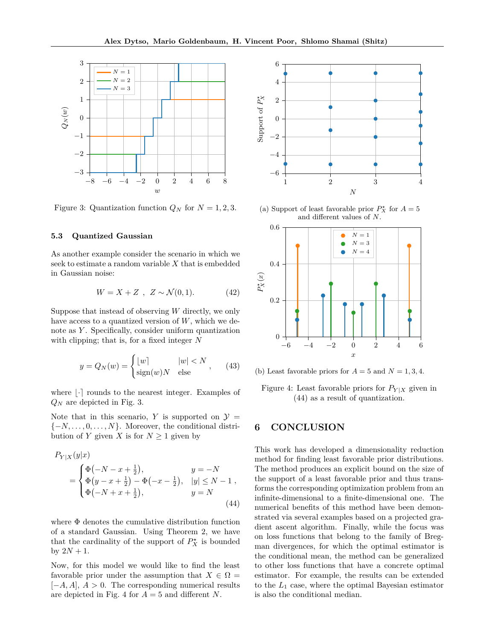

Figure 3: Quantization function  $Q_N$  for  $N = 1, 2, 3$ .

#### **5.3 Quantized Gaussian**

As another example consider the scenario in which we seek to estimate a random variable *X* that is embedded in Gaussian noise:

$$
W = X + Z \, , \, Z \sim \mathcal{N}(0, 1). \tag{42}
$$

Suppose that instead of observing *W* directly, we only have access to a quantized version of *W*, which we denote as *Y* . Specifically, consider uniform quantization with clipping; that is, for a fixed integer *N*

$$
y = Q_N(w) = \begin{cases} \lfloor w \rfloor & |w| < N \\ \text{sign}(w)N & \text{else} \end{cases}, \tag{43}
$$

where  $|\cdot|$  rounds to the nearest integer. Examples of *Q<sup>N</sup>* are depicted in Fig. 3.

Note that in this scenario, *Y* is supported on  $\mathcal{Y} =$ {−*N, . . . ,* 0*, . . . , N*}. Moreover, the conditional distribution of *Y* given *X* is for  $N \geq 1$  given by

$$
P_{Y|X}(y|x) = \begin{cases} \Phi(-N - x + \frac{1}{2}), & y = -N \\ \Phi(y - x + \frac{1}{2}) - \Phi(-x - \frac{1}{2}), & |y| \le N - 1 \\ \Phi(-N + x + \frac{1}{2}), & y = N \end{cases}
$$
\n(44)

where Φ denotes the cumulative distribution function of a standard Gaussian. Using Theorem 2, we have that the cardinality of the support of  $P_X^{\star}$  is bounded by  $2N + 1$ .

Now, for this model we would like to find the least favorable prior under the assumption that  $X \in \Omega$ [−*A, A*], *A >* 0. The corresponding numerical results are depicted in Fig. 4 for *A* = 5 and different *N*.



(a) Support of least favorable prior  $P_X^{\star}$  for  $A = 5$ and different values of *N*.



(b) Least favorable priors for  $A = 5$  and  $N = 1, 3, 4$ .

Figure 4: Least favorable priors for  $P_{Y|X}$  given in (44) as a result of quantization.

# **6 CONCLUSION**

This work has developed a dimensionality reduction method for finding least favorable prior distributions. The method produces an explicit bound on the size of the support of a least favorable prior and thus transforms the corresponding optimization problem from an infinite-dimensional to a finite-dimensional one. The numerical benefits of this method have been demonstrated via several examples based on a projected gradient ascent algorithm. Finally, while the focus was on loss functions that belong to the family of Bregman divergences, for which the optimal estimator is the conditional mean, the method can be generalized to other loss functions that have a concrete optimal estimator. For example, the results can be extended to the *L*<sup>1</sup> case, where the optimal Bayesian estimator is also the conditional median.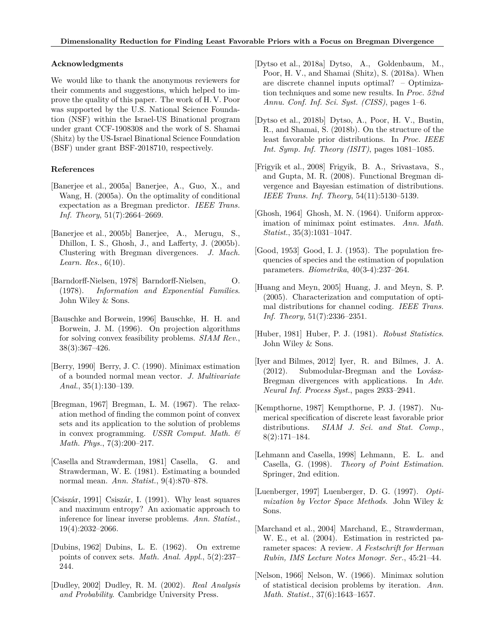#### **Acknowledgments**

We would like to thank the anonymous reviewers for their comments and suggestions, which helped to improve the quality of this paper. The work of H. V. Poor was supported by the U.S. National Science Foundation (NSF) within the Israel-US Binational program under grant CCF-1908308 and the work of S. Shamai (Shitz) by the US-Israel Binational Science Foundation (BSF) under grant BSF-2018710, respectively.

#### **References**

- [Banerjee et al., 2005a] Banerjee, A., Guo, X., and Wang, H. (2005a). On the optimality of conditional expectation as a Bregman predictor. *IEEE Trans. Inf. Theory*, 51(7):2664–2669.
- [Banerjee et al., 2005b] Banerjee, A., Merugu, S., Dhillon, I. S., Ghosh, J., and Lafferty, J. (2005b). Clustering with Bregman divergences. *J. Mach. Learn. Res.*, 6(10).
- [Barndorff-Nielsen, 1978] Barndorff-Nielsen, O. (1978). *Information and Exponential Families*. John Wiley & Sons.
- [Bauschke and Borwein, 1996] Bauschke, H. H. and Borwein, J. M. (1996). On projection algorithms for solving convex feasibility problems. *SIAM Rev.*, 38(3):367–426.
- [Berry, 1990] Berry, J. C. (1990). Minimax estimation of a bounded normal mean vector. *J. Multivariate Anal.*, 35(1):130–139.
- [Bregman, 1967] Bregman, L. M. (1967). The relaxation method of finding the common point of convex sets and its application to the solution of problems in convex programming. *USSR Comput. Math. & Math. Phys.*, 7(3):200–217.
- [Casella and Strawderman, 1981] Casella, G. and Strawderman, W. E. (1981). Estimating a bounded normal mean. *Ann. Statist.*, 9(4):870–878.
- [Csiszár, 1991] Csiszár, I. (1991). Why least squares and maximum entropy? An axiomatic approach to inference for linear inverse problems. *Ann. Statist.*, 19(4):2032–2066.
- [Dubins, 1962] Dubins, L. E. (1962). On extreme points of convex sets. *Math. Anal. Appl.*, 5(2):237– 244.
- [Dudley, 2002] Dudley, R. M. (2002). *Real Analysis and Probability*. Cambridge University Press.
- [Dytso et al., 2018a] Dytso, A., Goldenbaum, M., Poor, H. V., and Shamai (Shitz), S. (2018a). When are discrete channel inputs optimal? – Optimization techniques and some new results. In *Proc. 52nd Annu. Conf. Inf. Sci. Syst. (CISS)*, pages 1–6.
- [Dytso et al., 2018b] Dytso, A., Poor, H. V., Bustin, R., and Shamai, S. (2018b). On the structure of the least favorable prior distributions. In *Proc. IEEE Int. Symp. Inf. Theory (ISIT)*, pages 1081–1085.
- [Frigyik et al., 2008] Frigyik, B. A., Srivastava, S., and Gupta, M. R. (2008). Functional Bregman divergence and Bayesian estimation of distributions. *IEEE Trans. Inf. Theory*, 54(11):5130–5139.
- [Ghosh, 1964] Ghosh, M. N. (1964). Uniform approximation of minimax point estimates. *Ann. Math. Statist.*, 35(3):1031–1047.
- [Good, 1953] Good, I. J. (1953). The population frequencies of species and the estimation of population parameters. *Biometrika*, 40(3-4):237–264.
- [Huang and Meyn, 2005] Huang, J. and Meyn, S. P. (2005). Characterization and computation of optimal distributions for channel coding. *IEEE Trans. Inf. Theory*, 51(7):2336–2351.
- [Huber, 1981] Huber, P. J. (1981). *Robust Statistics*. John Wiley & Sons.
- [Iyer and Bilmes, 2012] Iyer, R. and Bilmes, J. A. (2012). Submodular-Bregman and the Lovász-Bregman divergences with applications. In *Adv. Neural Inf. Process Syst.*, pages 2933–2941.
- [Kempthorne, 1987] Kempthorne, P. J. (1987). Numerical specification of discrete least favorable prior distributions. *SIAM J. Sci. and Stat. Comp.*, 8(2):171–184.
- [Lehmann and Casella, 1998] Lehmann, E. L. and Casella, G. (1998). *Theory of Point Estimation*. Springer, 2nd edition.
- [Luenberger, 1997] Luenberger, D. G. (1997). *Optimization by Vector Space Methods*. John Wiley & Sons.
- [Marchand et al., 2004] Marchand, E., Strawderman, W. E., et al. (2004). Estimation in restricted parameter spaces: A review. *A Festschrift for Herman Rubin, IMS Lecture Notes Monogr. Ser.*, 45:21–44.
- [Nelson, 1966] Nelson, W. (1966). Minimax solution of statistical decision problems by iteration. *Ann. Math. Statist.*, 37(6):1643–1657.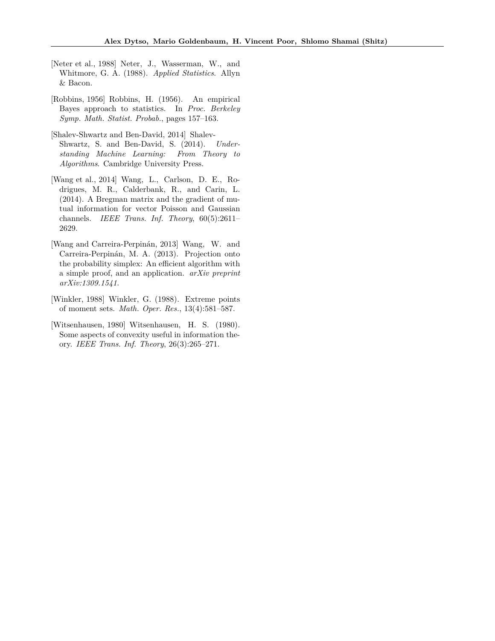- [Neter et al., 1988] Neter, J., Wasserman, W., and Whitmore, G. A. (1988). *Applied Statistics*. Allyn & Bacon.
- [Robbins, 1956] Robbins, H. (1956). An empirical Bayes approach to statistics. In *Proc. Berkeley Symp. Math. Statist. Probab.*, pages 157–163.
- [Shalev-Shwartz and Ben-David, 2014] Shalev-Shwartz, S. and Ben-David, S. (2014). *Understanding Machine Learning: From Theory to Algorithms*. Cambridge University Press.
- [Wang et al., 2014] Wang, L., Carlson, D. E., Rodrigues, M. R., Calderbank, R., and Carin, L. (2014). A Bregman matrix and the gradient of mutual information for vector Poisson and Gaussian channels. *IEEE Trans. Inf. Theory*, 60(5):2611– 2629.
- [Wang and Carreira-Perpinán, 2013] Wang, W. and Carreira-Perpinán, M. A. (2013). Projection onto the probability simplex: An efficient algorithm with a simple proof, and an application. *arXiv preprint arXiv:1309.1541*.
- [Winkler, 1988] Winkler, G. (1988). Extreme points of moment sets. *Math. Oper. Res.*, 13(4):581–587.
- [Witsenhausen, 1980] Witsenhausen, H. S. (1980). Some aspects of convexity useful in information theory. *IEEE Trans. Inf. Theory*, 26(3):265–271.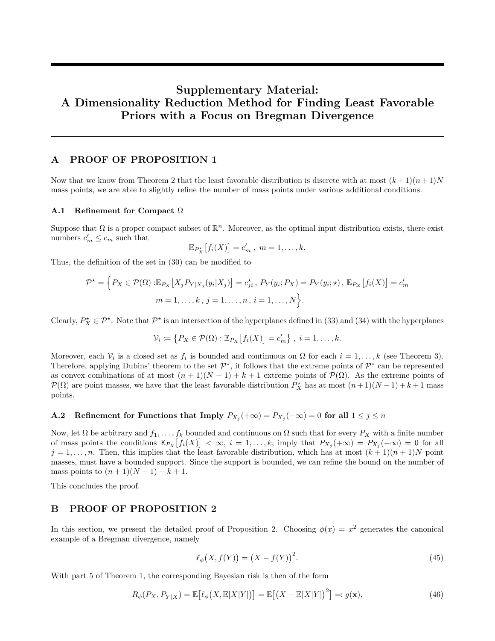# **Supplementary Material: A Dimensionality Reduction Method for Finding Least Favorable Priors with a Focus on Bregman Divergence**

# **A PROOF OF PROPOSITION 1**

Now that we know from Theorem 2 that the least favorable distribution is discrete with at most  $(k+1)(n+1)N$ mass points, we are able to slightly refine the number of mass points under various additional conditions.

#### **A.1 Refinement for Compact** Ω

Suppose that  $\Omega$  is a proper compact subset of  $\mathbb{R}^n$ . Moreover, as the optimal input distribution exists, there exist numbers  $c'_m \leq c_m$  such that

$$
\mathbb{E}_{P_X^{\star}}[f_i(X)] = c'_m, \; m = 1, \ldots, k.
$$

Thus, the definition of the set in (30) can be modified to

$$
\mathcal{P}^{\star} = \Big\{ P_X \in \mathcal{P}(\Omega) : \mathbb{E}_{P_X} \big[ X_j P_{Y|X_j}(y_i | X_j) \big] = c_{ji}^{\star}, \ P_Y(y_i; P_X) = P_Y(y_i; \star), \ \mathbb{E}_{P_X} \big[ f_i(X) \big] = c_m^{\prime}
$$

$$
m = 1, \dots, k, \ j = 1, \dots, n, \ i = 1, \dots, N \Big\}.
$$

Clearly,  $P_X^* \in \mathcal{P}^*$ . Note that  $\mathcal{P}^*$  is an intersection of the hyperplanes defined in (33) and (34) with the hyperplanes

$$
\mathcal{V}_i \coloneqq \left\{ P_X \in \mathcal{P}(\Omega) : \mathbb{E}_{P_X} \left[ f_i(X) \right] = c'_m \right\}, \ i = 1, \dots, k.
$$

Moreover, each  $V_i$  is a closed set as  $f_i$  is bounded and continuous on  $\Omega$  for each  $i = 1, \ldots, k$  (see Theorem 3). Therefore, applying Dubins' theorem to the set  $\mathcal{P}^*$ , it follows that the extreme points of  $\mathcal{P}^*$  can be represented as convex combinations of at most  $(n+1)(N-1) + k+1$  extreme points of  $\mathcal{P}(\Omega)$ . As the extreme points of  $\mathcal{P}(\Omega)$  are point masses, we have that the least favorable distribution  $P_X^{\star}$  has at most  $(n+1)(N-1) + k+1$  mass points.

# **A.2** Refinement for Functions that Imply  $P_{X_j}(+\infty) = P_{X_j}(-\infty) = 0$  for all  $1 \leq j \leq n$

Now, let  $\Omega$  be arbitrary and  $f_1, \ldots, f_k$  bounded and continuous on  $\Omega$  such that for every  $P_X$  with a finite number of mass points the conditions  $\mathbb{E}_{P_X}[f_i(X)] < \infty$ ,  $i = 1, \ldots, k$ , imply that  $P_{X_j}(+\infty) = P_{X_j}(-\infty) = 0$  for all  $j = 1, \ldots, n$ . Then, this implies that the least favorable distribution, which has at most  $(k+1)(n+1)N$  point masses, must have a bounded support. Since the support is bounded, we can refine the bound on the number of mass points to  $(n + 1)(N - 1) + k + 1$ .

This concludes the proof.

# **B PROOF OF PROPOSITION 2**

In this section, we present the detailed proof of Proposition 2. Choosing  $\phi(x) = x^2$  generates the canonical example of a Bregman divergence, namely

$$
\ell_{\phi}\big(X, f(Y)\big) = \big(X - f(Y)\big)^2. \tag{45}
$$

With part 5 of Theorem 1, the corresponding Bayesian risk is then of the form

$$
R_{\phi}(P_X, P_{Y|X}) = \mathbb{E}\big[\ell_{\phi}\big(X, \mathbb{E}[X|Y]\big)\big] = \mathbb{E}\big[\big(X - \mathbb{E}[X|Y]\big)^2\big] =: g(\mathbf{x}),\tag{46}
$$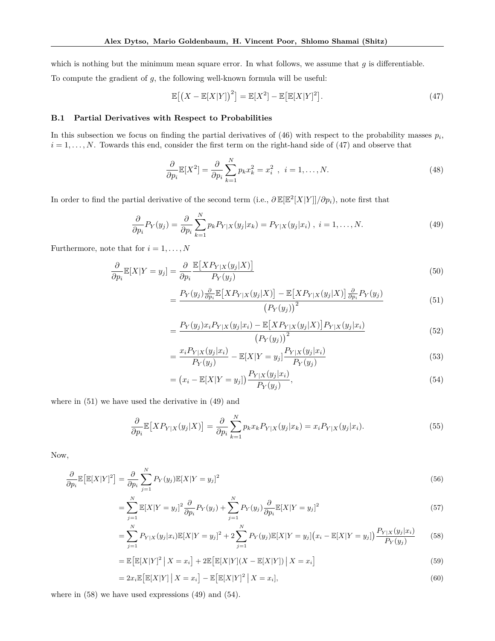which is nothing but the minimum mean square error. In what follows, we assume that *g* is differentiable.

To compute the gradient of *g*, the following well-known formula will be useful:

$$
\mathbb{E}\left[\left(X - \mathbb{E}[X|Y]\right)^2\right] = \mathbb{E}[X^2] - \mathbb{E}\left[\mathbb{E}[X|Y]^2\right].\tag{47}
$$

#### **B.1 Partial Derivatives with Respect to Probabilities**

In this subsection we focus on finding the partial derivatives of  $(46)$  with respect to the probability masses  $p_i$ ,  $i = 1, \ldots, N$ . Towards this end, consider the first term on the right-hand side of  $(47)$  and observe that

$$
\frac{\partial}{\partial p_i} \mathbb{E}[X^2] = \frac{\partial}{\partial p_i} \sum_{k=1}^N p_k x_k^2 = x_i^2 \ , \ i = 1, \dots, N. \tag{48}
$$

In order to find the partial derivative of the second term (i.e.,  $\partial \mathbb{E}[\mathbb{E}^2[X|Y]]/\partial p_i$ ), note first that

$$
\frac{\partial}{\partial p_i} P_Y(y_j) = \frac{\partial}{\partial p_i} \sum_{k=1}^N p_k P_{Y|X}(y_j | x_k) = P_{Y|X}(y_j | x_i), \quad i = 1, \dots, N. \tag{49}
$$

Furthermore, note that for  $i = 1, \ldots, N$ 

$$
\frac{\partial}{\partial p_i} \mathbb{E}[X|Y=y_j] = \frac{\partial}{\partial p_i} \frac{\mathbb{E}[XP_{Y|X}(y_j|X)]}{P_Y(y_j)}
$$
\n(50)

$$
=\frac{P_Y(y_j)\frac{\partial}{\partial p_i}\mathbb{E}\left[XP_{Y|X}(y_j|X)\right]-\mathbb{E}\left[XP_{Y|X}(y_j|X)\right]\frac{\partial}{\partial p_i}P_Y(y_j)}{\left(P_Y(y_j)\right)^2}\tag{51}
$$

$$
= \frac{P_Y(y_j)x_i P_{Y|X}(y_j|x_i) - \mathbb{E}[XP_{Y|X}(y_j|X)] P_{Y|X}(y_j|x_i)}{(P_Y(y_j))^2}
$$
(52)

$$
= \frac{x_i P_{Y|X}(y_j|x_i)}{P_Y(y_j)} - \mathbb{E}[X|Y=y_j] \frac{P_{Y|X}(y_j|x_i)}{P_Y(y_j)}
$$
(53)

$$
= (x_i - \mathbb{E}[X|Y = y_j]) \frac{P_{Y|X}(y_j|x_i)}{P_Y(y_j)},
$$
\n(54)

where in (51) we have used the derivative in (49) and

$$
\frac{\partial}{\partial p_i} \mathbb{E}\left[ X P_{Y|X}(y_j|X) \right] = \frac{\partial}{\partial p_i} \sum_{k=1}^N p_k x_k P_{Y|X}(y_j|x_k) = x_i P_{Y|X}(y_j|x_i). \tag{55}
$$

Now,

$$
\frac{\partial}{\partial p_i} \mathbb{E} \left[ \mathbb{E} [X|Y]^2 \right] = \frac{\partial}{\partial p_i} \sum_{j=1}^N P_Y(y_j) \mathbb{E} [X|Y=y_j]^2 \tag{56}
$$

$$
= \sum_{j=1}^{N} \mathbb{E}[X|Y=y_j]^2 \frac{\partial}{\partial p_i} P_Y(y_j) + \sum_{j=1}^{N} P_Y(y_j) \frac{\partial}{\partial p_i} \mathbb{E}[X|Y=y_j]^2
$$
\n(57)

$$
= \sum_{j=1}^{N} P_{Y|X}(y_j|x_i) \mathbb{E}[X|Y=y_j]^2 + 2\sum_{j=1}^{N} P_{Y}(y_j) \mathbb{E}[X|Y=y_j] (x_i - \mathbb{E}[X|Y=y_j]) \frac{P_{Y|X}(y_j|x_i)}{P_{Y}(y_j)}
$$
(58)

$$
= \mathbb{E}\left[\mathbb{E}[X|Y]^2 \mid X = x_i\right] + 2\mathbb{E}\left[\mathbb{E}[X|Y](X - \mathbb{E}[X|Y]) \mid X = x_i\right]
$$
\n(59)

$$
=2x_i\mathbb{E}\big[\mathbb{E}[X|Y]\,\big|\,X=x_i\big]-\mathbb{E}\big[\mathbb{E}[X|Y]^2\,\big|\,X=x_i\big],\tag{60}
$$

where in (58) we have used expressions (49) and (54).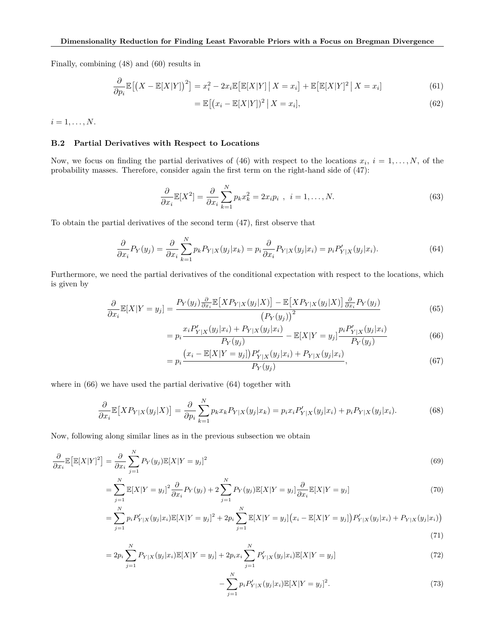Finally, combining (48) and (60) results in

$$
\frac{\partial}{\partial p_i} \mathbb{E} \left[ \left( X - \mathbb{E}[X|Y] \right)^2 \right] = x_i^2 - 2x_i \mathbb{E} \left[ \mathbb{E}[X|Y] \, \middle| \, X = x_i \right] + \mathbb{E} \left[ \mathbb{E}[X|Y]^2 \, \middle| \, X = x_i \right] \tag{61}
$$

$$
= \mathbb{E}\left[\left(x_i - \mathbb{E}[X|Y]\right)^2 \, \middle| \, X = x_i\right],\tag{62}
$$

 $i = 1, \ldots, N$ .

### **B.2 Partial Derivatives with Respect to Locations**

Now, we focus on finding the partial derivatives of (46) with respect to the locations  $x_i$ ,  $i = 1, \ldots, N$ , of the probability masses. Therefore, consider again the first term on the right-hand side of (47):

$$
\frac{\partial}{\partial x_i} \mathbb{E}[X^2] = \frac{\partial}{\partial x_i} \sum_{k=1}^N p_k x_k^2 = 2x_i p_i , \quad i = 1, \dots, N. \tag{63}
$$

To obtain the partial derivatives of the second term (47), first observe that

$$
\frac{\partial}{\partial x_i} P_Y(y_j) = \frac{\partial}{\partial x_i} \sum_{k=1}^N p_k P_{Y|X}(y_j | x_k) = p_i \frac{\partial}{\partial x_i} P_{Y|X}(y_j | x_i) = p_i P'_{Y|X}(y_j | x_i). \tag{64}
$$

Furthermore, we need the partial derivatives of the conditional expectation with respect to the locations, which is given by

$$
\frac{\partial}{\partial x_i} \mathbb{E}[X|Y=y_j] = \frac{P_Y(y_j) \frac{\partial}{\partial x_i} \mathbb{E}[X P_{Y|X}(y_j|X)] - \mathbb{E}[X P_{Y|X}(y_j|X)] \frac{\partial}{\partial x_i} P_Y(y_j)}{(P_Y(y_j))^2}
$$
(65)

$$
=p_i \frac{x_i P'_{Y|X}(y_j|x_i) + P_{Y|X}(y_j|x_i)}{P_Y(y_j)} - \mathbb{E}[X|Y=y_j] \frac{p_i P'_{Y|X}(y_j|x_i)}{P_Y(y_j)}
$$
(66)

$$
=p_i \frac{(x_i - \mathbb{E}[X|Y=y_j]) P'_{Y|X}(y_j|x_i) + P_{Y|X}(y_j|x_i)}{P_Y(y_j)},
$$
\n(67)

where in (66) we have used the partial derivative (64) together with

$$
\frac{\partial}{\partial x_i} \mathbb{E}\big[ X P_{Y|X}(y_j|X) \big] = \frac{\partial}{\partial p_i} \sum_{k=1}^N p_k x_k P_{Y|X}(y_j|x_k) = p_i x_i P'_{Y|X}(y_j|x_i) + p_i P_{Y|X}(y_j|x_i). \tag{68}
$$

Now, following along similar lines as in the previous subsection we obtain

$$
\frac{\partial}{\partial x_i} \mathbb{E} \big[ \mathbb{E} [X|Y]^2 \big] = \frac{\partial}{\partial x_i} \sum_{j=1}^N P_Y(y_j) \mathbb{E} [X|Y=y_j]^2 \tag{69}
$$

$$
= \sum_{j=1}^{N} \mathbb{E}[X|Y=y_j]^2 \frac{\partial}{\partial x_i} P_Y(y_j) + 2 \sum_{j=1}^{N} P_Y(y_j) \mathbb{E}[X|Y=y_j] \frac{\partial}{\partial x_i} \mathbb{E}[X|Y=y_j]
$$
(70)

$$
= \sum_{j=1}^{N} p_i P'_{Y|X}(y_j|x_i) \mathbb{E}[X|Y=y_j]^2 + 2p_i \sum_{j=1}^{N} \mathbb{E}[X|Y=y_j](x_i - \mathbb{E}[X|Y=y_j]) P'_{Y|X}(y_j|x_i) + P_{Y|X}(y_j|x_i))
$$
\n(71)

$$
=2p_i\sum_{j=1}^N P_{Y|X}(y_j|x_i)\mathbb{E}[X|Y=y_j]+2p_ix_i\sum_{j=1}^N P'_{Y|X}(y_j|x_i)\mathbb{E}[X|Y=y_j]
$$
\n(72)

$$
-\sum_{j=1}^{N} p_i P'_{Y|X}(y_j|x_i) \mathbb{E}[X|Y=y_j]^2.
$$
\n(73)